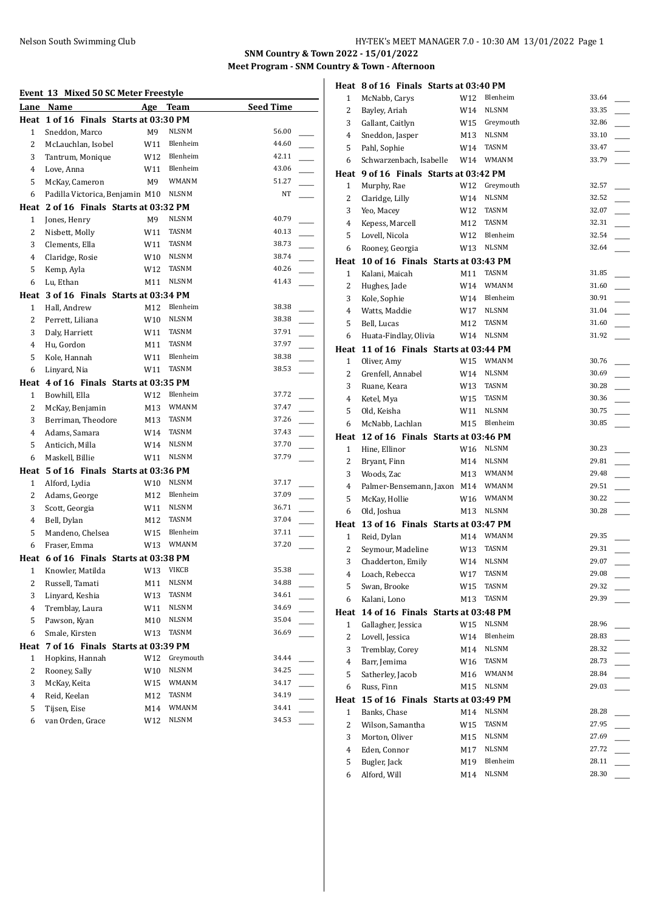#### Nelson South Swimming Club HY-TEK's MEET MANAGER 7.0 - 10:30 AM 13/01/2022 Page 1

**SNM Country & Town 2022 - 15/01/2022 Meet Program - SNM Country & Town - Afternoon**

## **Event 13 Mixed 50 SC Meter Freestyle**

| Event 13<br>Lane | Name                                   | Mixed 50 SC Meter Freestyle<br><b>Age</b> | Team              | <b>Seed Time</b> |  |
|------------------|----------------------------------------|-------------------------------------------|-------------------|------------------|--|
|                  | Heat 1 of 16 Finals Starts at 03:30 PM |                                           |                   |                  |  |
| 1                | Sneddon, Marco                         | M9                                        | NLSNM             | 56.00            |  |
| 2                | McLauchlan, Isobel                     | W11                                       | Blenheim          | 44.60            |  |
| 3                | Tantrum, Monique                       | W12                                       | Blenheim          | 42.11            |  |
| 4                | Love, Anna                             | W11                                       | Blenheim          | 43.06            |  |
| 5                | McKay, Cameron                         | M9                                        | <b>WMANM</b>      | 51.27            |  |
| 6                | Padilla Victorica, Benjamin M10        |                                           | NLSNM             | NT               |  |
|                  | Heat 2 of 16 Finals Starts at 03:32 PM |                                           |                   |                  |  |
| 1                | Jones, Henry                           | M9                                        | <b>NLSNM</b>      | 40.79            |  |
| 2                | Nisbett, Molly                         | W11                                       | TASNM             | 40.13            |  |
| 3                | Clements, Ella                         | W11                                       | <b>TASNM</b>      | 38.73            |  |
| $\overline{4}$   | Claridge, Rosie                        | W10                                       | <b>NLSNM</b>      | 38.74            |  |
| 5                | Kemp, Ayla                             | W12                                       | <b>TASNM</b>      | 40.26            |  |
| 6                | Lu, Ethan                              | M11                                       | NLSNM             | 41.43            |  |
|                  | Heat 3 of 16 Finals Starts at 03:34 PM |                                           |                   |                  |  |
| 1                | Hall. Andrew                           | M12                                       | Blenheim          | 38.38            |  |
| 2                | Perrett, Liliana                       | W <sub>10</sub>                           | <b>NLSNM</b>      | 38.38            |  |
| 3                |                                        | W11                                       | TASNM             | 37.91            |  |
| 4                | Daly, Harriett<br>Hu, Gordon           | M11                                       | <b>TASNM</b>      | 37.97            |  |
| 5                | Kole, Hannah                           | W11                                       | Blenheim          | 38.38            |  |
| 6                |                                        | W11                                       | <b>TASNM</b>      | 38.53            |  |
|                  | Linyard, Nia                           |                                           |                   |                  |  |
|                  | Heat 4 of 16 Finals Starts at 03:35 PM |                                           | Blenheim          | 37.72            |  |
| 1                | Bowhill, Ella                          | W12                                       | <b>WMANM</b>      | 37.47            |  |
| 2                | McKay, Benjamin                        | M13                                       | TASNM             | 37.26            |  |
| 3<br>4           | Berriman, Theodore                     | M13                                       | <b>TASNM</b>      | 37.43            |  |
|                  | Adams, Samara                          | W14                                       | <b>NLSNM</b>      | 37.70            |  |
| 5                | Anticich, Milla                        | W14                                       | NLSNM             | 37.79            |  |
| 6                | Maskell, Billie                        | W11                                       |                   |                  |  |
|                  | Heat 5 of 16 Finals Starts at 03:36 PM |                                           | NLSNM             | 37.17            |  |
| 1                | Alford, Lydia                          | W10                                       | Blenheim          | 37.09            |  |
| 2                | Adams, George                          | M12                                       | <b>NLSNM</b>      | 36.71            |  |
| 3                | Scott, Georgia                         | W11                                       |                   |                  |  |
| 4                | Bell, Dylan                            | M12                                       | TASNM<br>Blenheim | 37.04<br>37.11   |  |
| 5                | Mandeno, Chelsea                       | W15                                       | <b>WMANM</b>      | 37.20            |  |
| 6                | Fraser, Emma                           | W13                                       |                   |                  |  |
|                  | Heat 6 of 16 Finals Starts at 03:38 PM |                                           |                   | 35.38            |  |
| 1                | Knowler, Matilda                       | W13                                       | <b>VIKCB</b>      |                  |  |
| 2                | Russell, Tamati                        | M11                                       | NLSNM<br>TASNM    | 34.88<br>34.61   |  |
| 3                | Linyard, Keshia                        | W13                                       | <b>NLSNM</b>      |                  |  |
| 4                | Tremblay, Laura                        | W11                                       | NLSNM             | 34.69            |  |
| 5                | Pawson, Kyan                           | M10                                       |                   | 35.04<br>36.69   |  |
| 6                | Smale, Kirsten                         | W13                                       | TASNM             |                  |  |
| Heat             | 7 of 16 Finals Starts at 03:39 PM      |                                           |                   |                  |  |
| 1                | Hopkins, Hannah                        | W12                                       | Greymouth         | 34.44            |  |
| 2                | Rooney, Sally                          | W10                                       | NLSNM             | 34.25            |  |
| 3                | McKay, Keita                           | W15                                       | WMANM             | 34.17            |  |
| 4                | Reid, Keelan                           | M12                                       | TASNM             | 34.19            |  |
| 5                | Tijsen, Eise                           | M14                                       | WMANM             | 34.41            |  |
| 6                | van Orden, Grace                       | W12                                       | <b>NLSNM</b>      | 34.53            |  |

|                | Heat 8 of 16 Finals Starts at 03:40 PM                   |            |                   |                |
|----------------|----------------------------------------------------------|------------|-------------------|----------------|
| 1              | McNabb, Carys                                            | W12        | Blenheim          | 33.64          |
| 2              | Bayley, Ariah                                            | W14        | <b>NLSNM</b>      | 33.35          |
| 3              | Gallant, Caitlyn                                         | W15        | Greymouth         | 32.86          |
| $\overline{4}$ | Sneddon, Jasper                                          | M13        | <b>NLSNM</b>      | 33.10          |
| 5              | Pahl, Sophie                                             | W14        | <b>TASNM</b>      | 33.47          |
| 6              | Schwarzenbach, Isabelle                                  | W14        | <b>WMANM</b>      | 33.79          |
|                | Heat 9 of 16 Finals Starts at 03:42 PM                   |            |                   |                |
| 1              | Murphy, Rae                                              | W12        | Greymouth         | 32.57          |
| 2              | Claridge, Lilly                                          | W14        | NLSNM             | 32.52          |
| 3              | Yeo, Macey                                               | W12        | <b>TASNM</b>      | 32.07          |
| $\overline{4}$ | Kepess, Marcell                                          | M12        | TASNM             | 32.31          |
| 5              | Lovell, Nicola                                           | W12        | Blenheim          | 32.54          |
| 6              | Rooney, Georgia                                          | W13        | <b>NLSNM</b>      | 32.64          |
|                | Heat 10 of 16 Finals Starts at 03:43 PM                  |            | TASNM             | 31.85          |
| 1<br>2         | Kalani, Maicah                                           | M11<br>W14 | WMANM             | 31.60          |
| 3              | Hughes, Jade<br>Kole, Sophie                             | W14        | Blenheim          | 30.91          |
| $\overline{4}$ | Watts, Maddie                                            | W17        | <b>NLSNM</b>      | 31.04          |
| 5              | Bell, Lucas                                              | M12        | TASNM             | 31.60          |
| 6              | Huata-Findlay, Olivia                                    | W14        | <b>NLSNM</b>      | 31.92          |
|                | Heat 11 of 16 Finals Starts at 03:44 PM                  |            |                   |                |
| $\mathbf{1}$   | Oliver, Amy                                              | W15        | WMANM             | 30.76          |
| 2              | Grenfell, Annabel                                        | W14        | <b>NLSNM</b>      | 30.69          |
| 3              | Ruane, Keara                                             | W13        | TASNM             | 30.28          |
| $\overline{4}$ | Ketel, Mya                                               | W15        | TASNM             | 30.36          |
| 5              | Old, Keisha                                              | W11        | <b>NLSNM</b>      | 30.75          |
| 6              | McNabb, Lachlan                                          | M15        | Blenheim          | 30.85          |
|                |                                                          |            |                   |                |
|                | Heat 12 of 16 Finals Starts at 03:46 PM                  |            |                   |                |
| 1              | Hine, Ellinor                                            | W16        | NLSNM             | 30.23          |
| 2              | Bryant, Finn                                             | M14        | <b>NLSNM</b>      | 29.81          |
| 3              | Woods, Zac                                               | M13        | WMANM             | 29.48          |
| 4              | Palmer-Bensemann, Jaxon M14                              |            | <b>WMANM</b>      | 29.51          |
| 5              | McKay, Hollie                                            | W16        | <b>WMANM</b>      | 30.22          |
| 6              | Old, Joshua                                              | M13        | <b>NLSNM</b>      | 30.28          |
|                | Heat 13 of 16 Finals Starts at 03:47 PM                  |            |                   |                |
| $\mathbf{1}$   | Reid, Dylan                                              | M14        | WMANM             | 29.35          |
| 2              | Seymour, Madeline                                        | W13        | <b>TASNM</b>      | 29.31          |
| 3              | Chadderton, Emily                                        |            | W14 NLSNM         | 29.07          |
| 4              | Loach, Rebecca                                           | W17        | <b>TASNM</b>      | 29.08          |
| 5              | Swan, Brooke                                             | W15        | TASNM             | 29.32<br>29.39 |
| 6              | Kalani, Lono                                             | M13        | TASNM             |                |
| Heat<br>1      | 14 of 16 Finals Starts at 03:48 PM<br>Gallagher, Jessica | W15        | NLSNM             | 28.96          |
| 2              | Lovell, Jessica                                          | W14        | Blenheim          | 28.83          |
| 3              | Tremblay, Corey                                          | M14        | <b>NLSNM</b>      | 28.32          |
| 4              | Barr, Jemima                                             | W16        | TASNM             | 28.73          |
| 5              | Satherley, Jacob                                         | M16        | <b>WMANM</b>      | 28.84          |
| 6              | Russ, Finn                                               | M15        | NLSNM             | 29.03          |
| Heat           | 15 of 16 Finals Starts at 03:49 PM                       |            |                   |                |
| $\mathbf{1}$   | Banks, Chase                                             | M14        | <b>NLSNM</b>      | 28.28          |
| $\overline{c}$ | Wilson, Samantha                                         | W15        | TASNM             | 27.95          |
| 3              | Morton, Oliver                                           | M15        | <b>NLSNM</b>      | 27.69          |
| 4              | Eden, Connor                                             | M17        | NLSNM             | 27.72          |
| 5<br>6         | Bugler, Jack<br>Alford, Will                             | M19<br>M14 | Blenheim<br>NLSNM | 28.11<br>28.30 |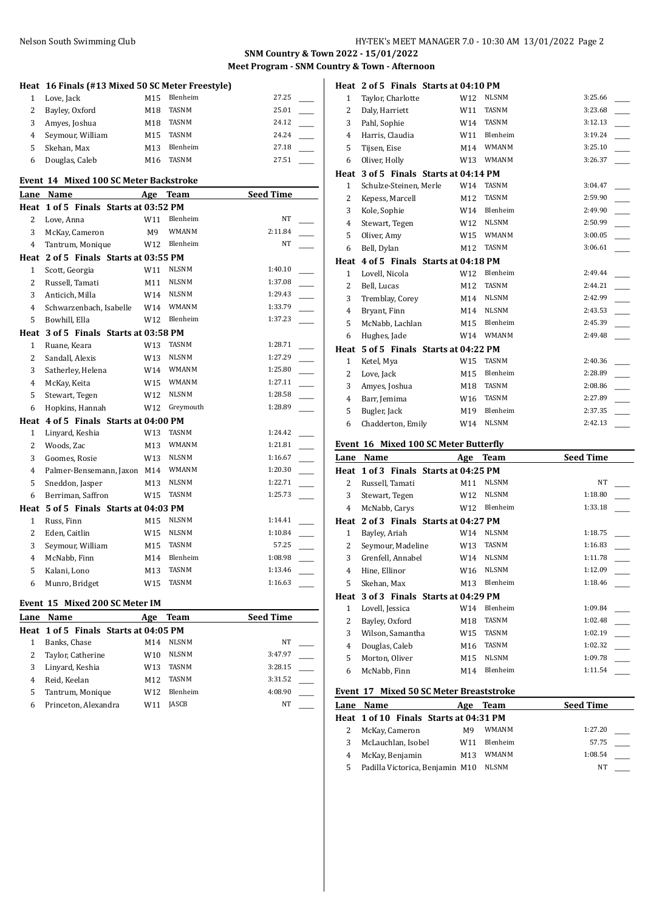#### Nelson South Swimming Club HY-TEK's MEET MANAGER 7.0 - 10:30 AM 13/01/2022 Page 2

**SNM Country & Town 2022 - 15/01/2022 Meet Program - SNM Country & Town - Afternoon**

|                | Heat 16 Finals (#13 Mixed 50 SC Meter Freestyle) |     |              |                        |
|----------------|--------------------------------------------------|-----|--------------|------------------------|
| $\mathbf{1}$   | Love, Jack                                       | M15 | Blenheim     | 27.25                  |
| $\overline{2}$ | Bayley, Oxford                                   | M18 | <b>TASNM</b> | 25.01                  |
| 3              | Amyes, Joshua                                    | M18 | <b>TASNM</b> | 24.12                  |
| $\overline{4}$ | Seymour, William                                 | M15 | <b>TASNM</b> | 24.24                  |
| 5              | Skehan. Max                                      | M13 | Blenheim     | 27.18                  |
| 6              | Douglas, Caleb                                   | M16 | <b>TASNM</b> | 27.51                  |
|                | Event 14 Mixed 100 SC Meter Backstroke           |     |              |                        |
|                | Lane Name                                        |     | Age Team     | <b>Seed Time</b>       |
|                | Heat 1 of 5 Finals Starts at 03:52 PM            |     |              |                        |
| $\overline{2}$ | Love. Anna                                       | W11 | Blenheim     | NT                     |
| 3              | McKay, Cameron                                   | M9  | <b>WMANM</b> | 2:11.84                |
| $\overline{4}$ | Tantrum, Monique                                 | W12 | Blenheim     | NT                     |
|                | Heat 2 of 5 Finals Starts at 03:55 PM            |     |              |                        |
| $\mathbf{1}$   | Scott, Georgia                                   | W11 | <b>NLSNM</b> | 1:40.10                |
| $\overline{2}$ | Russell, Tamati                                  | M11 | <b>NLSNM</b> | 1:37.08                |
| 3              | Anticich, Milla                                  | W14 | <b>NLSNM</b> | 1:29.43                |
| $\overline{4}$ | Schwarzenbach, Isabelle                          | W14 | <b>WMANM</b> | 1:33.79                |
| 5              | Bowhill, Ella                                    | W12 | Blenheim     | 1:37.23                |
|                | Heat 3 of 5 Finals Starts at 03:58 PM            |     |              |                        |
| $\mathbf{1}$   | Ruane. Keara                                     | W13 | <b>TASNM</b> | 1:28.71                |
| $\overline{2}$ | Sandall, Alexis                                  | W13 | <b>NLSNM</b> | 1:27.29                |
| 3              | Satherley, Helena                                | W14 | <b>WMANM</b> | 1:25.80                |
| 4              | McKay, Keita                                     | W15 | <b>WMANM</b> | 1:27.11                |
| 5              | Stewart, Tegen                                   | W12 | <b>NLSNM</b> | 1:28.58                |
| 6              | Hopkins, Hannah                                  | W12 | Greymouth    | 1:28.89                |
|                | Heat 4 of 5 Finals Starts at 04:00 PM            |     |              |                        |
| 1              | Linyard, Keshia                                  | W13 | <b>TASNM</b> | 1:24.42                |
| $\overline{2}$ | Woods, Zac                                       | M13 | <b>WMANM</b> | 1:21.81                |
| 3              | Goomes, Rosie                                    | W13 | <b>NLSNM</b> | 1:16.67                |
| 4              | Palmer-Bensemann, Jaxon M14                      |     | <b>WMANM</b> | 1:20.30                |
| 5              | Sneddon, Jasper                                  | M13 | <b>NLSNM</b> | 1:22.71                |
| 6              | Berriman, Saffron                                | W15 | <b>TASNM</b> | 1:25.73                |
|                | Heat 5 of 5 Finals Starts at 04:03 PM            |     |              |                        |
| 1              | Russ, Finn                                       | M15 | <b>NLSNM</b> | 1:14.41                |
| $\overline{2}$ | Eden, Caitlin                                    | W15 | <b>NLSNM</b> | 1:10.84                |
| 3              | Seymour, William                                 | M15 | <b>TASNM</b> | 57.25<br>$\frac{1}{1}$ |
| $\overline{4}$ | McNabb, Finn                                     | M14 | Blenheim     | 1:08.98                |
|                |                                                  |     | <b>TASNM</b> | 1:13.46                |
| 5              | Kalani, Lono                                     | M13 |              |                        |

#### **Event 15 Mixed 200 SC Meter IM**

|                      | Age       | Team         | <b>Seed Time</b>                      |
|----------------------|-----------|--------------|---------------------------------------|
|                      |           |              |                                       |
| Banks, Chase         | M14       | <b>NLSNM</b> | <b>NT</b>                             |
| Taylor, Catherine    | W10       | <b>NLSNM</b> | 3:47.97                               |
| Linyard, Keshia      | W13       | TASNM        | 3:28.15                               |
| Reid, Keelan         | M12       | <b>TASNM</b> | 3:31.52                               |
| Tantrum, Monique     | W12.      | Blenheim     | 4:08.90                               |
| Princeton, Alexandra | W11       | IASCB        | NT                                    |
|                      | Lane Name |              | Heat 1 of 5 Finals Starts at 04:05 PM |

| Lane           | Name                                  | Age | <b>Team</b>  | <b>Seed Time</b> |
|----------------|---------------------------------------|-----|--------------|------------------|
|                | Event 16 Mixed 100 SC Meter Butterfly |     |              |                  |
| 6              | Chadderton, Emily                     | W14 | <b>NLSNM</b> | 2:42.13          |
| 5              | Bugler, Jack                          | M19 | Blenheim     | 2:37.35          |
| 4              | Barr, Jemima                          | W16 | <b>TASNM</b> | 2:27.89          |
| 3              | Amyes, Joshua                         | M18 | <b>TASNM</b> | 2:08.86          |
| 2              | Love, Jack                            | M15 | Blenheim     | 2:28.89          |
| $\mathbf{1}$   | Ketel, Mya                            | W15 | <b>TASNM</b> | 2:40.36          |
| Heat           | 5 of 5 Finals Starts at 04:22 PM      |     |              |                  |
| 6              | Hughes, Jade                          | W14 | <b>WMANM</b> | 2:49.48          |
| 5              | McNabb, Lachlan                       | M15 | Blenheim     | 2:45.39          |
| 4              | Bryant, Finn                          | M14 | <b>NLSNM</b> | 2:43.53          |
| 3              | Tremblay, Corey                       | M14 | <b>NLSNM</b> | 2:42.99          |
| $\overline{2}$ | Bell, Lucas                           | M12 | <b>TASNM</b> | 2:44.21          |
| $\mathbf{1}$   | Lovell, Nicola                        | W12 | Blenheim     | 2:49.44          |
|                | Heat 4 of 5 Finals Starts at 04:18 PM |     |              |                  |
| 6              | Bell, Dylan                           | M12 | <b>TASNM</b> | 3:06.61          |
| 5              | Oliver, Amy                           | W15 | <b>WMANM</b> | 3:00.05          |
| $\overline{4}$ | Stewart, Tegen                        | W12 | <b>NLSNM</b> | 2:50.99          |
| 3              | Kole, Sophie                          | W14 | Blenheim     | 2:49.90          |
| 2              | Kepess, Marcell                       | M12 | <b>TASNM</b> | 2:59.90          |
| $\mathbf{1}$   | Schulze-Steinen, Merle                | W14 | <b>TASNM</b> | 3:04.47          |
|                | Heat 3 of 5 Finals Starts at 04:14 PM |     |              |                  |
| 6              | Oliver, Holly                         | W13 | WMANM        | 3:26.37          |
| 5              | Tijsen, Eise                          | M14 | <b>WMANM</b> | 3:25.10          |
| $\overline{4}$ | Harris, Claudia                       | W11 | Blenheim     | 3:19.24          |
| 3              | Pahl, Sophie                          | W14 | <b>TASNM</b> | 3:12.13          |
| 2              | Daly, Harriett                        | W11 | <b>TASNM</b> | 3:23.68          |
| 1              | Taylor, Charlotte                     | W12 | <b>NLSNM</b> | 3:25.66          |
|                | Heat 2 of 5 Finals Starts at 04:10 PM |     |              |                  |

| Lane         | Name                             | Age             | <b>Team</b>  | <b>Seed Time</b> |  |
|--------------|----------------------------------|-----------------|--------------|------------------|--|
| Heat         | 1 of 3 Finals Starts at 04:25 PM |                 |              |                  |  |
| 2            | Russell, Tamati                  | M11             | <b>NLSNM</b> | NT               |  |
| 3            | Stewart, Tegen                   | W12             | <b>NLSNM</b> | 1:18.80          |  |
| 4            | McNabb, Carys                    | W12             | Blenheim     | 1:33.18          |  |
| Heat         | 2 of 3 Finals Starts at 04:27 PM |                 |              |                  |  |
| 1            | Bayley, Ariah                    | W14             | <b>NLSNM</b> | 1:18.75          |  |
| 2            | Seymour, Madeline                | W13             | TASNM        | 1:16.83          |  |
| 3            | Grenfell, Annabel                | W14             | <b>NLSNM</b> | 1:11.78          |  |
| 4            | Hine, Ellinor                    | W <sub>16</sub> | <b>NLSNM</b> | 1:12.09          |  |
| 5            | Skehan, Max                      | M13             | Blenheim     | 1:18.46          |  |
| Heat         | 3 of 3 Finals Starts at 04:29 PM |                 |              |                  |  |
| $\mathbf{1}$ | Lovell, Jessica                  | W14             | Blenheim     | 1:09.84          |  |
| 2            | Bayley, Oxford                   | M18             | <b>TASNM</b> | 1:02.48          |  |
| 3            | Wilson, Samantha                 | W15             | TASNM        | 1:02.19          |  |
| 4            | Douglas, Caleb                   | M16             | <b>TASNM</b> | 1:02.32          |  |
| 5            | Morton, Oliver                   | M15             | <b>NLSNM</b> | 1:09.78          |  |
| 6            | McNabb, Finn                     | M14             | Blenheim     | 1:11.54          |  |

#### **Event 17 Mixed 50 SC Meter Breaststroke**

|   | EVEIIU 17 MIAEU 30 SC MELEI DI CASISLIUNE |     |              |                  |  |
|---|-------------------------------------------|-----|--------------|------------------|--|
|   | Lane Name                                 | Age | Team         | <b>Seed Time</b> |  |
|   | Heat 1 of 10 Finals Starts at 04:31 PM    |     |              |                  |  |
|   | McKay, Cameron                            | M9  | WMANM        | 1:27.20          |  |
| 3 | McLauchlan, Isobel                        | W11 | Blenheim     | 57.75            |  |
| 4 | McKay, Benjamin                           | M13 | WMANM        | 1:08.54          |  |
| 5 | Padilla Victorica, Benjamin M10           |     | <b>NLSNM</b> | NT               |  |
|   |                                           |     |              |                  |  |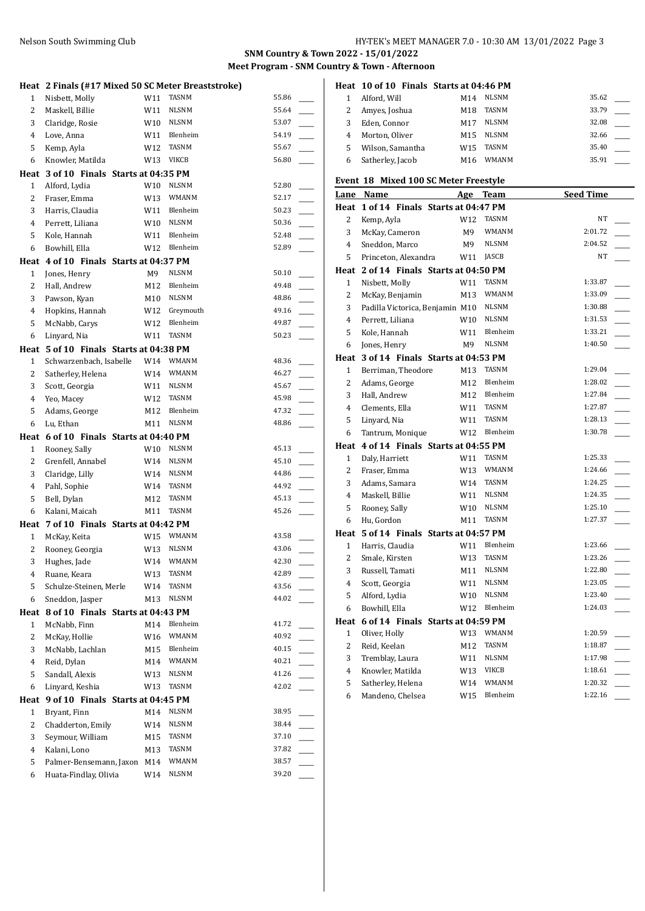#### Nelson South Swimming Club **HY-TEK's MEET MANAGER 7.0 - 10:30 AM 13/01/2022** Page 3

**SNM Country & Town 2022 - 15/01/2022 Meet Program - SNM Country & Town - Afternoon**

|                | Heat 2 Finals (#17 Mixed 50 SC Meter Breaststroke)     |                 |                   |                |  |
|----------------|--------------------------------------------------------|-----------------|-------------------|----------------|--|
| 1              | Nisbett, Molly                                         | W11             | <b>TASNM</b>      | 55.86          |  |
| 2              | Maskell, Billie                                        | W11             | <b>NLSNM</b>      | 55.64          |  |
| 3              | Claridge, Rosie                                        | W10             | <b>NLSNM</b>      | 53.07          |  |
| $\overline{4}$ | Love, Anna                                             | W11             | Blenheim          | 54.19          |  |
| 5              | Kemp, Ayla                                             | W12             | <b>TASNM</b>      | 55.67          |  |
| 6              | Knowler, Matilda                                       | W13             | VIKCB             | 56.80          |  |
|                | Heat 3 of 10 Finals Starts at 04:35 PM                 |                 |                   |                |  |
| $\mathbf{1}$   | Alford, Lydia                                          | W10             | <b>NLSNM</b>      | 52.80          |  |
| 2              | Fraser, Emma                                           | W <sub>13</sub> | <b>WMANM</b>      | 52.17          |  |
| 3              | Harris, Claudia                                        | W11             | Blenheim          | 50.23          |  |
| $\overline{4}$ | Perrett, Liliana                                       | W10             | <b>NLSNM</b>      | 50.36          |  |
| 5              | Kole, Hannah                                           | W11             | Blenheim          | 52.48          |  |
| 6              | Bowhill, Ella                                          | W12             | Blenheim          | 52.89          |  |
|                | Heat 4 of 10 Finals Starts at 04:37 PM                 |                 |                   |                |  |
| $\mathbf{1}$   | Jones, Henry                                           | M9              | <b>NLSNM</b>      | 50.10          |  |
| 2              | Hall, Andrew                                           | M12             | Blenheim          | 49.48          |  |
| 3              | Pawson, Kyan                                           | M10             | <b>NLSNM</b>      | 48.86          |  |
| 4              | Hopkins, Hannah                                        | W12             | Greymouth         | 49.16          |  |
| 5              | McNabb, Carys                                          | W12             | Blenheim          | 49.87          |  |
| 6              | Linyard, Nia                                           | W11             | <b>TASNM</b>      | 50.23          |  |
|                | Heat 5 of 10 Finals Starts at 04:38 PM                 |                 |                   |                |  |
| $\mathbf{1}$   | Schwarzenbach, Isabelle                                | W14             | <b>WMANM</b>      | 48.36          |  |
| 2              | Satherley, Helena                                      | W14             | <b>WMANM</b>      | 46.27          |  |
| 3              | Scott, Georgia                                         | W11             | <b>NLSNM</b>      | 45.67          |  |
| $\overline{4}$ | Yeo, Macey                                             | W12             | <b>TASNM</b>      | 45.98          |  |
| 5              | Adams, George                                          | M12             | Blenheim          | 47.32          |  |
| 6              | Lu, Ethan                                              | M11             | <b>NLSNM</b>      | 48.86          |  |
|                | Heat 6 of 10 Finals Starts at 04:40 PM                 |                 |                   |                |  |
|                |                                                        |                 |                   |                |  |
| 1              | Rooney, Sally                                          | W10             | NLSNM             | 45.13          |  |
| 2              | Grenfell, Annabel                                      | W14             | <b>NLSNM</b>      | 45.10          |  |
| 3              | Claridge, Lilly                                        | W14             | <b>NLSNM</b>      | 44.86          |  |
| $\overline{4}$ | Pahl, Sophie                                           | W14             | <b>TASNM</b>      | 44.92          |  |
| 5              | Bell, Dylan                                            | M12             | <b>TASNM</b>      | 45.13          |  |
| 6              | Kalani, Maicah                                         | M11             | <b>TASNM</b>      | 45.26          |  |
|                | Heat 7 of 10 Finals Starts at 04:42 PM                 |                 |                   |                |  |
| 1              | McKay, Keita                                           | W15             | WMANM             | 43.58          |  |
| 2              | Rooney, Georgia                                        | W13             | <b>NLSNM</b>      | 43.06          |  |
| $\overline{3}$ | Hughes, Jade                                           |                 | W14 WMANM         | 42.30          |  |
| 4              | Ruane, Keara                                           | W13             | TASNM             | 42.89          |  |
| 5              | Schulze-Steinen, Merle                                 | W14             | TASNM             | 43.56          |  |
| 6              | Sneddon, Jasper                                        | M13             | NLSNM             | 44.02          |  |
|                | Heat 8 of 10 Finals Starts at 04:43 PM                 |                 |                   |                |  |
| 1              | McNabb, Finn                                           | M14             | Blenheim<br>WMANM | 41.72<br>40.92 |  |
| 2<br>3         | McKay, Hollie<br>McNabb, Lachlan                       | W16             | Blenheim          | 40.15          |  |
| 4              |                                                        | M15             | WMANM             | 40.21          |  |
| 5              | Reid, Dylan                                            | M14<br>W13      | NLSNM             | 41.26          |  |
| 6              | Sandall, Alexis<br>Linyard, Keshia                     | W13             | TASNM             | 42.02          |  |
|                |                                                        |                 |                   |                |  |
| 1              | Heat 9 of 10 Finals Starts at 04:45 PM<br>Bryant, Finn | M14             | <b>NLSNM</b>      | 38.95          |  |
| 2              | Chadderton, Emily                                      | W14             | NLSNM             | 38.44          |  |
| 3              | Seymour, William                                       | M15             | TASNM             | 37.10          |  |
| 4              | Kalani, Lono                                           | M13             | TASNM             | 37.82          |  |
| 5              | Palmer-Bensemann, Jaxon M14                            |                 | WMANM             | 38.57          |  |
| 6              | Huata-Findlay, Olivia                                  | W14             | <b>NLSNM</b>      | 39.20          |  |

|   | Heat 10 of 10 Finals Starts at 04:46 PM |                 |              |       |  |
|---|-----------------------------------------|-----------------|--------------|-------|--|
|   | Alford, Will                            | M14             | NLSNM        | 35.62 |  |
|   | Amyes, Joshua                           | M18             | <b>TASNM</b> | 33.79 |  |
|   | Eden. Connor                            | M17             | <b>NLSNM</b> | 32.08 |  |
|   | Morton, Oliver                          | M15             | <b>NLSNM</b> | 32.66 |  |
|   | Wilson, Samantha                        | W <sub>15</sub> | <b>TASNM</b> | 35.40 |  |
| 6 | Satherley, Jacob                        | M16             | WMANM        | 35.91 |  |

#### **Event 18 Mixed 100 SC Meter Freestyle**

| LVCHL          | 1U.<br><b>MACU TOO SC MCICI TICCSLYIC</b> |                |              |                  |  |
|----------------|-------------------------------------------|----------------|--------------|------------------|--|
|                | Lane Name                                 |                | Age Team     | <b>Seed Time</b> |  |
|                | Heat 1 of 14 Finals Starts at 04:47 PM    |                |              |                  |  |
| 2              | Kemp, Ayla                                | W12            | TASNM        | NT               |  |
| 3              | McKay, Cameron                            | M9             | WMANM        | 2:01.72          |  |
| $\overline{4}$ | Sneddon, Marco                            | M9             | <b>NLSNM</b> | 2:04.52          |  |
| 5              | Princeton, Alexandra                      | W11            | <b>JASCB</b> | NT               |  |
|                | Heat 2 of 14 Finals Starts at 04:50 PM    |                |              |                  |  |
| 1              | Nisbett, Molly                            | W11            | <b>TASNM</b> | 1:33.87          |  |
| 2              | McKay, Benjamin                           | M13            | WMANM        | 1:33.09          |  |
| 3              | Padilla Victorica, Benjamin M10           |                | <b>NLSNM</b> | 1:30.88          |  |
| $\overline{4}$ | Perrett, Liliana                          | W10            | <b>NLSNM</b> | 1:31.53          |  |
| 5              | Kole, Hannah                              | W11            | Blenheim     | 1:33.21          |  |
| 6              | Jones, Henry                              | M <sub>9</sub> | <b>NLSNM</b> | 1:40.50          |  |
| Heat           | 3 of 14 Finals Starts at 04:53 PM         |                |              |                  |  |
| 1              | Berriman, Theodore                        | M13            | <b>TASNM</b> | 1:29.04          |  |
| $\overline{2}$ | Adams, George                             | M12            | Blenheim     | 1:28.02          |  |
| 3              | Hall, Andrew                              | M12            | Blenheim     | 1:27.84          |  |
| $\overline{4}$ | Clements, Ella                            | W11            | <b>TASNM</b> | 1:27.87          |  |
| 5              | Linyard, Nia                              | W11            | <b>TASNM</b> | 1:28.13          |  |
| 6              | Tantrum, Monique                          | W12            | Blenheim     | 1:30.78          |  |
|                | Heat 4 of 14 Finals Starts at 04:55 PM    |                |              |                  |  |
| $\mathbf{1}$   | Daly, Harriett                            | W11            | <b>TASNM</b> | 1:25.33          |  |
| $\overline{2}$ | Fraser, Emma                              | W13            | WMANM        | 1:24.66          |  |
| 3              | Adams, Samara                             | W14            | <b>TASNM</b> | 1:24.25          |  |
| 4              | Maskell, Billie                           | W11            | <b>NLSNM</b> | 1:24.35          |  |
| 5              | Rooney, Sally                             | W10            | <b>NLSNM</b> | 1:25.10          |  |
| 6              | Hu, Gordon                                | M11            | <b>TASNM</b> | 1:27.37          |  |
|                | Heat 5 of 14 Finals Starts at 04:57 PM    |                |              |                  |  |
| $\mathbf{1}$   | Harris, Claudia                           | W11            | Blenheim     | 1:23.66          |  |
| 2              | Smale, Kirsten                            | W13            | TASNM        | 1:23.26          |  |
| 3              | Russell, Tamati                           | M11            | <b>NLSNM</b> | 1:22.80          |  |
| $\overline{4}$ | Scott, Georgia                            | W11            | <b>NLSNM</b> | 1:23.05          |  |
| 5              | Alford, Lydia                             | W10            | <b>NLSNM</b> | 1:23.40          |  |
| 6              | Bowhill, Ella                             | W12            | Blenheim     | 1:24.03          |  |
|                | Heat 6 of 14 Finals Starts at 04:59 PM    |                |              |                  |  |
| 1              | Oliver, Holly                             | W13            | <b>WMANM</b> | 1:20.59          |  |
| 2              | Reid, Keelan                              | M12            | TASNM        | 1:18.87          |  |
| 3              | Tremblay, Laura                           | W11            | <b>NLSNM</b> | 1:17.98          |  |
| $\overline{4}$ | Knowler, Matilda                          | W13            | <b>VIKCB</b> | 1:18.61          |  |
| 5              | Satherley, Helena                         | W14            | <b>WMANM</b> | 1:20.32          |  |
| 6              | Mandeno, Chelsea                          | W15            | Blenheim     | 1:22.16          |  |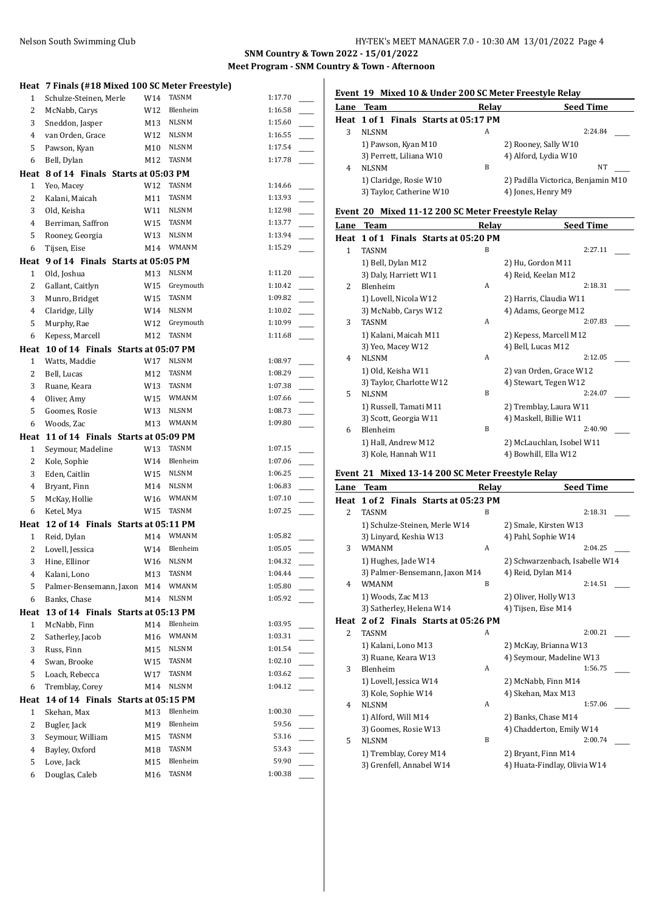#### **SNM Country & Town 2022 - 15/01/2022 Meet Program - SNM Country & Town - Afternoon**

|                | Heat 7 Finals (#18 Mixed 100 SC Meter Freestyle) |     |              |         |
|----------------|--------------------------------------------------|-----|--------------|---------|
| $\mathbf{1}$   | Schulze-Steinen, Merle                           | W14 | <b>TASNM</b> | 1:17.70 |
| 2              | McNabb, Carys                                    | W12 | Blenheim     | 1:16.58 |
| 3              | Sneddon, Jasper                                  | M13 | <b>NLSNM</b> | 1:15.60 |
| 4              | van Orden, Grace                                 | W12 | <b>NLSNM</b> | 1:16.55 |
| 5              | Pawson, Kyan                                     | M10 | <b>NLSNM</b> | 1:17.54 |
| 6              | Bell, Dylan                                      | M12 | TASNM        | 1:17.78 |
|                | Heat 8 of 14 Finals Starts at 05:03 PM           |     |              |         |
| $\mathbf{1}$   | Yeo, Macey                                       | W12 | TASNM        | 1:14.66 |
| 2              | Kalani, Maicah                                   | M11 | <b>TASNM</b> | 1:13.93 |
| 3              | Old, Keisha                                      | W11 | <b>NLSNM</b> | 1:12.98 |
| 4              | Berriman, Saffron                                | W15 | TASNM        | 1:13.77 |
| 5              | Rooney, Georgia                                  | W13 | <b>NLSNM</b> | 1:13.94 |
| 6              | Tijsen, Eise                                     | M14 | WMANM        | 1:15.29 |
|                | Heat 9 of 14 Finals Starts at 05:05 PM           |     |              |         |
| $\mathbf{1}$   | Old, Joshua                                      | M13 | <b>NLSNM</b> | 1:11.20 |
| 2              | Gallant, Caitlyn                                 | W15 | Greymouth    | 1:10.42 |
| 3              | Munro, Bridget                                   | W15 | TASNM        | 1:09.82 |
| 4              | Claridge, Lilly                                  | W14 | <b>NLSNM</b> | 1:10.02 |
| 5              | Murphy, Rae                                      | W12 | Greymouth    | 1:10.99 |
| 6              | Kepess, Marcell                                  | M12 | TASNM        | 1:11.68 |
| Heat           | 10 of 14 Finals Starts at 05:07 PM               |     |              |         |
| $\mathbf{1}$   | Watts, Maddie                                    | W17 | NLSNM        | 1:08.97 |
| 2              | Bell, Lucas                                      | M12 | TASNM        | 1:08.29 |
| 3              | Ruane, Keara                                     | W13 | TASNM        | 1:07.38 |
| $\overline{4}$ | Oliver, Amy                                      | W15 | <b>WMANM</b> | 1:07.66 |
| 5              | Goomes, Rosie                                    | W13 | <b>NLSNM</b> | 1:08.73 |
| 6              | Woods, Zac                                       | M13 | WMANM        | 1:09.80 |
|                | Heat 11 of 14 Finals Starts at 05:09 PM          |     |              |         |
| $\mathbf{1}$   | Seymour, Madeline                                | W13 | TASNM        | 1:07.15 |
| 2              | Kole, Sophie                                     | W14 | Blenheim     | 1:07.06 |
| 3              | Eden, Caitlin                                    | W15 | <b>NLSNM</b> | 1:06.25 |
| 4              | Bryant, Finn                                     | M14 | <b>NLSNM</b> | 1:06.83 |
| 5              | McKay, Hollie                                    | W16 | <b>WMANM</b> | 1:07.10 |
| 6              | Ketel, Mya                                       | W15 | TASNM        | 1:07.25 |
|                | Heat 12 of 14 Finals Starts at 05:11 PM          |     |              |         |
| $\mathbf{1}$   | Reid, Dylan                                      | M14 | <b>WMANM</b> | 1:05.82 |
| 2              | Lovell, Jessica                                  | W14 | Blenheim     | 1:05.05 |
| 3              | Hine, Ellinor                                    | W16 | <b>NLSNM</b> | 1:04.32 |
| 4              | Kalani, Lono                                     | M13 | TASNM        | 1:04.44 |
| 5              | Palmer-Bensemann, Jaxon M14                      |     | WMANM        | 1:05.80 |
| 6              | Banks, Chase                                     | M14 | NLSNM        | 1:05.92 |
|                | Heat 13 of 14 Finals Starts at 05:13 PM          |     |              |         |
| $\mathbf{1}$   | McNabb, Finn                                     | M14 | Blenheim     | 1:03.95 |
| 2              | Satherley, Jacob                                 | M16 | WMANM        | 1:03.31 |
| 3              | Russ, Finn                                       | M15 | <b>NLSNM</b> | 1:01.54 |
| 4              | Swan, Brooke                                     | W15 | TASNM        | 1:02.10 |
| 5              | Loach, Rebecca                                   | W17 | TASNM        | 1:03.62 |
| 6              | Tremblay, Corey                                  | M14 | <b>NLSNM</b> | 1:04.12 |
| Heat           | 14 of 14 Finals Starts at 05:15 PM               |     |              |         |
| $\mathbf{1}$   | Skehan, Max                                      | M13 | Blenheim     | 1:00.30 |
| $\overline{c}$ | Bugler, Jack                                     | M19 | Blenheim     | 59.56   |
| 3              | Seymour, William                                 | M15 | TASNM        | 53.16   |
| 4              | Bayley, Oxford                                   | M18 | TASNM        | 53.43   |
| 5              | Love, Jack                                       | M15 | Blenheim     | 59.90   |
| 6              | Douglas, Caleb                                   | M16 | TASNM        | 1:00.38 |
|                |                                                  |     |              |         |

# **Event 19 Mixed 10 & Under 200 SC Meter Freestyle Relay**

|   | Lane Team                             | Relav | <b>Seed Time</b>                   |
|---|---------------------------------------|-------|------------------------------------|
|   | Heat 1 of 1 Finals Starts at 05:17 PM |       |                                    |
|   | <b>NLSNM</b>                          | A     | 2:24.84                            |
|   | 1) Pawson, Kyan M10                   |       | 2) Rooney, Sally W10               |
|   | 3) Perrett, Liliana W10               |       | 4) Alford, Lydia W10               |
| 4 | <b>NLSNM</b>                          | B     | NT                                 |
|   | 1) Claridge, Rosie W10                |       | 2) Padilla Victorica, Benjamin M10 |
|   | 3) Taylor, Catherine W10              |       | 4) Jones, Henry M9                 |
|   |                                       |       |                                    |

## **Event 20 Mixed 11-12 200 SC Meter Freestyle Relay**

| Lane                     | <b>Team</b>                           | Relay | <b>Seed Time</b>          |
|--------------------------|---------------------------------------|-------|---------------------------|
|                          | Heat 1 of 1 Finals Starts at 05:20 PM |       |                           |
| 1                        | <b>TASNM</b>                          | B     | 2:27.11                   |
|                          | 1) Bell, Dylan M12                    |       | 2) Hu, Gordon M11         |
|                          | 3) Daly, Harriett W11                 |       | 4) Reid, Keelan M12       |
| $\overline{\mathcal{L}}$ | Blenheim                              | A     | 2:18.31                   |
|                          | 1) Lovell, Nicola W12                 |       | 2) Harris, Claudia W11    |
|                          | 3) McNabb, Carys W12                  |       | 4) Adams, George M12      |
| 3                        | <b>TASNM</b>                          | A     | 2:07.83                   |
|                          | 1) Kalani, Maicah M11                 |       | 2) Kepess, Marcell M12    |
|                          | 3) Yeo, Macey W12                     |       | 4) Bell, Lucas M12        |
| 4                        | <b>NLSNM</b>                          | A     | 2:12.05                   |
|                          | 1) Old, Keisha W11                    |       | 2) van Orden, Grace W12   |
|                          | 3) Taylor, Charlotte W12              |       | 4) Stewart, Tegen W12     |
| 5                        | <b>NLSNM</b>                          | B     | 2:24.07                   |
|                          | 1) Russell, Tamati M11                |       | 2) Tremblay, Laura W11    |
|                          | 3) Scott, Georgia W11                 |       | 4) Maskell, Billie W11    |
| 6                        | Blenheim                              | B     | 2:40.90                   |
|                          | 1) Hall, Andrew M12                   |       | 2) McLauchlan, Isobel W11 |
|                          | 3) Kole, Hannah W11                   |       | 4) Bowhill, Ella W12      |
|                          |                                       |       |                           |

# **Event 21 Mixed 13-14 200 SC Meter Freestyle Relay**

| <b>Team</b>                   | Relay | <b>Seed Time</b>                                                                                       |
|-------------------------------|-------|--------------------------------------------------------------------------------------------------------|
|                               |       |                                                                                                        |
| <b>TASNM</b>                  | B     | 2:18.31                                                                                                |
| 1) Schulze-Steinen, Merle W14 |       | 2) Smale, Kirsten W13                                                                                  |
| 3) Linyard, Keshia W13        |       | 4) Pahl, Sophie W14                                                                                    |
| <b>WMANM</b>                  | A     | 2:04.25                                                                                                |
| 1) Hughes, Jade W14           |       | 2) Schwarzenbach, Isabelle W14                                                                         |
|                               |       | 4) Reid, Dylan M14                                                                                     |
| <b>WMANM</b>                  | B     | 2:14.51                                                                                                |
| 1) Woods, Zac M13             |       | 2) Oliver, Holly W13                                                                                   |
| 3) Satherley, Helena W14      |       | 4) Tijsen, Eise M14                                                                                    |
|                               |       |                                                                                                        |
| <b>TASNM</b>                  | A     | 2:00.21                                                                                                |
| 1) Kalani, Lono M13           |       | 2) McKay, Brianna W13                                                                                  |
| 3) Ruane, Keara W13           |       | 4) Seymour, Madeline W13                                                                               |
| Blenheim                      | A     | 1:56.75                                                                                                |
| 1) Lovell, Jessica W14        |       | 2) McNabb, Finn M14                                                                                    |
| 3) Kole, Sophie W14           |       | 4) Skehan, Max M13                                                                                     |
| <b>NLSNM</b>                  | A     | 1:57.06                                                                                                |
| 1) Alford, Will M14           |       | 2) Banks, Chase M14                                                                                    |
| 3) Goomes, Rosie W13          |       | 4) Chadderton, Emily W14                                                                               |
| <b>NLSNM</b>                  | B     | 2:00.74                                                                                                |
| 1) Tremblay, Corey M14        |       | 2) Bryant, Finn M14                                                                                    |
| 3) Grenfell, Annabel W14      |       | 4) Huata-Findlay, Olivia W14                                                                           |
|                               |       | 1 of 2 Finals Starts at 05:23 PM<br>3) Palmer-Bensemann, Jaxon M14<br>2 of 2 Finals Starts at 05:26 PM |